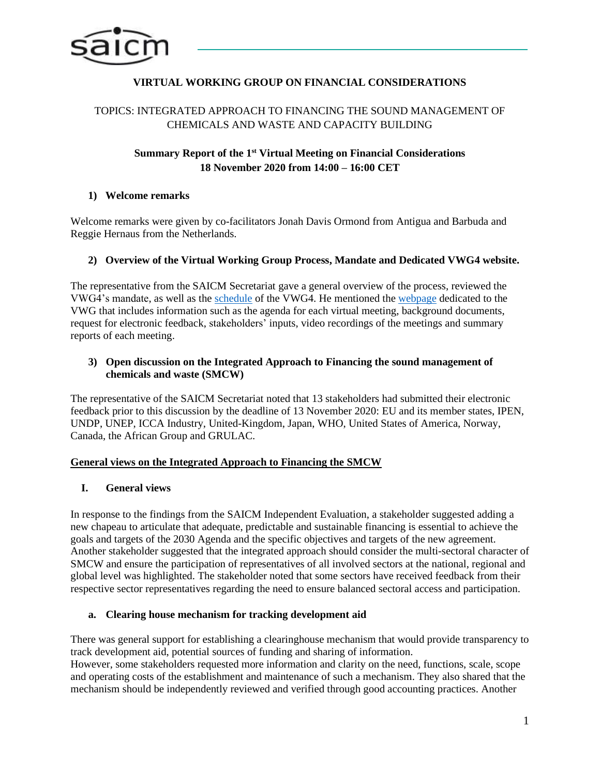

# **VIRTUAL WORKING GROUP ON FINANCIAL CONSIDERATIONS**

# TOPICS: INTEGRATED APPROACH TO FINANCING THE SOUND MANAGEMENT OF CHEMICALS AND WASTE AND CAPACITY BUILDING

# **Summary Report of the 1st Virtual Meeting on Financial Considerations 18 November 2020 from 14:00 – 16:00 CET**

### **1) Welcome remarks**

Welcome remarks were given by co-facilitators Jonah Davis Ormond from Antigua and Barbuda and Reggie Hernaus from the Netherlands.

### **2) Overview of the Virtual Working Group Process, Mandate and Dedicated VWG4 website.**

The representative from the SAICM Secretariat gave a general overview of the process, reviewed the VWG4's mandate, as well as the [schedule](http://www.saicm.org/Portals/12/documents/meetings/VirtualWG/Finance/Draft_schedule_VWG_Financing_considerations.pdf) of the VWG4. He mentioned the [webpage](http://www.saicm.org/Beyond2020/IntersessionalProcess/VirtualWorkingGroups/tabid/8563/language/en-US/Default.aspx) dedicated to the VWG that includes information such as the agenda for each virtual meeting, background documents, request for electronic feedback, stakeholders' inputs, video recordings of the meetings and summary reports of each meeting.

### **3) Open discussion on the Integrated Approach to Financing the sound management of chemicals and waste (SMCW)**

The representative of the SAICM Secretariat noted that 13 stakeholders had submitted their electronic feedback prior to this discussion by the deadline of 13 November 2020: EU and its member states, IPEN, UNDP, UNEP, ICCA Industry, United-Kingdom, Japan, WHO, United States of America, Norway, Canada, the African Group and GRULAC.

#### **General views on the Integrated Approach to Financing the SMCW**

# **I. General views**

In response to the findings from the SAICM Independent Evaluation, a stakeholder suggested adding a new chapeau to articulate that adequate, predictable and sustainable financing is essential to achieve the goals and targets of the 2030 Agenda and the specific objectives and targets of the new agreement. Another stakeholder suggested that the integrated approach should consider the multi-sectoral character of SMCW and ensure the participation of representatives of all involved sectors at the national, regional and global level was highlighted. The stakeholder noted that some sectors have received feedback from their respective sector representatives regarding the need to ensure balanced sectoral access and participation.

#### **a. Clearing house mechanism for tracking development aid**

There was general support for establishing a clearinghouse mechanism that would provide transparency to track development aid, potential sources of funding and sharing of information. However, some stakeholders requested more information and clarity on the need, functions, scale, scope and operating costs of the establishment and maintenance of such a mechanism. They also shared that the mechanism should be independently reviewed and verified through good accounting practices. Another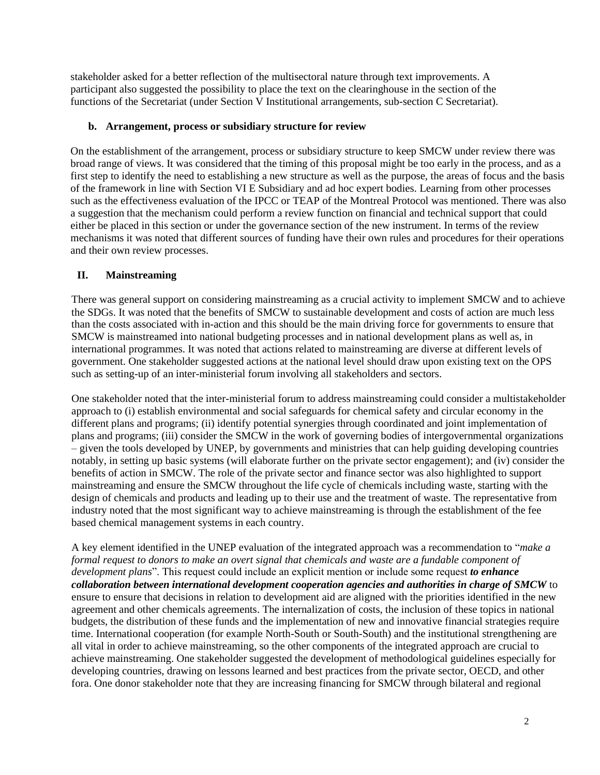stakeholder asked for a better reflection of the multisectoral nature through text improvements. A participant also suggested the possibility to place the text on the clearinghouse in the section of the functions of the Secretariat (under Section V Institutional arrangements, sub-section C Secretariat).

### **b. Arrangement, process or subsidiary structure for review**

On the establishment of the arrangement, process or subsidiary structure to keep SMCW under review there was broad range of views. It was considered that the timing of this proposal might be too early in the process, and as a first step to identify the need to establishing a new structure as well as the purpose, the areas of focus and the basis of the framework in line with Section VI E Subsidiary and ad hoc expert bodies. Learning from other processes such as the effectiveness evaluation of the IPCC or TEAP of the Montreal Protocol was mentioned. There was also a suggestion that the mechanism could perform a review function on financial and technical support that could either be placed in this section or under the governance section of the new instrument. In terms of the review mechanisms it was noted that different sources of funding have their own rules and procedures for their operations and their own review processes.

### **II. Mainstreaming**

There was general support on considering mainstreaming as a crucial activity to implement SMCW and to achieve the SDGs. It was noted that the benefits of SMCW to sustainable development and costs of action are much less than the costs associated with in-action and this should be the main driving force for governments to ensure that SMCW is mainstreamed into national budgeting processes and in national development plans as well as, in international programmes. It was noted that actions related to mainstreaming are diverse at different levels of government. One stakeholder suggested actions at the national level should draw upon existing text on the OPS such as setting-up of an inter-ministerial forum involving all stakeholders and sectors.

One stakeholder noted that the inter-ministerial forum to address mainstreaming could consider a multistakeholder approach to (i) establish environmental and social safeguards for chemical safety and circular economy in the different plans and programs; (ii) identify potential synergies through coordinated and joint implementation of plans and programs; (iii) consider the SMCW in the work of governing bodies of intergovernmental organizations – given the tools developed by UNEP, by governments and ministries that can help guiding developing countries notably, in setting up basic systems (will elaborate further on the private sector engagement); and (iv) consider the benefits of action in SMCW. The role of the private sector and finance sector was also highlighted to support mainstreaming and ensure the SMCW throughout the life cycle of chemicals including waste, starting with the design of chemicals and products and leading up to their use and the treatment of waste. The representative from industry noted that the most significant way to achieve mainstreaming is through the establishment of the fee based chemical management systems in each country.

A key element identified in the UNEP evaluation of the integrated approach was a recommendation to "*make a formal request to donors to make an overt signal that chemicals and waste are a fundable component of development plans*". This request could include an explicit mention or include some request *to enhance collaboration between international development cooperation agencies and authorities in charge of SMCW* to ensure to ensure that decisions in relation to development aid are aligned with the priorities identified in the new agreement and other chemicals agreements. The internalization of costs, the inclusion of these topics in national budgets, the distribution of these funds and the implementation of new and innovative financial strategies require time. International cooperation (for example North-South or South-South) and the institutional strengthening are all vital in order to achieve mainstreaming, so the other components of the integrated approach are crucial to achieve mainstreaming. One stakeholder suggested the development of methodological guidelines especially for developing countries, drawing on lessons learned and best practices from the private sector, OECD, and other fora. One donor stakeholder note that they are increasing financing for SMCW through bilateral and regional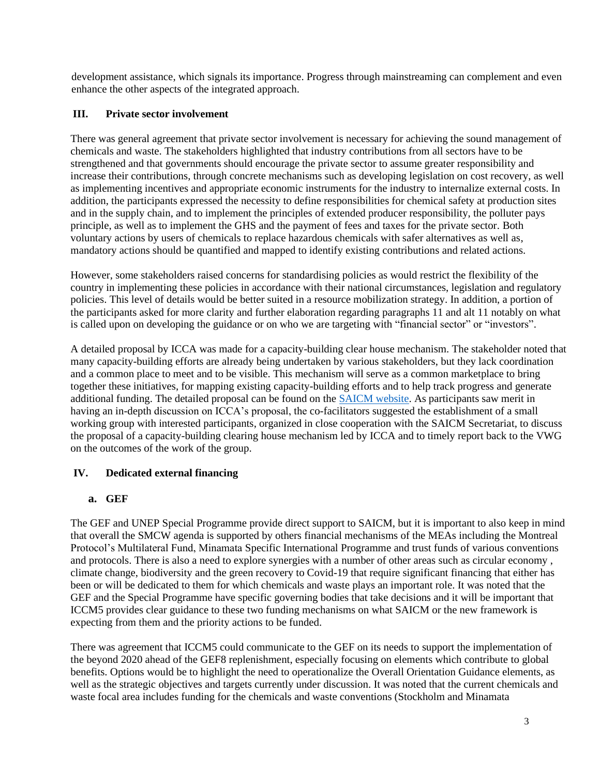development assistance, which signals its importance. Progress through mainstreaming can complement and even enhance the other aspects of the integrated approach.

# **III. Private sector involvement**

There was general agreement that private sector involvement is necessary for achieving the sound management of chemicals and waste. The stakeholders highlighted that industry contributions from all sectors have to be strengthened and that governments should encourage the private sector to assume greater responsibility and increase their contributions, through concrete mechanisms such as developing legislation on cost recovery, as well as implementing incentives and appropriate economic instruments for the industry to internalize external costs. In addition, the participants expressed the necessity to define responsibilities for chemical safety at production sites and in the supply chain, and to implement the principles of extended producer responsibility, the polluter pays principle, as well as to implement the GHS and the payment of fees and taxes for the private sector. Both voluntary actions by users of chemicals to replace hazardous chemicals with safer alternatives as well as, mandatory actions should be quantified and mapped to identify existing contributions and related actions.

However, some stakeholders raised concerns for standardising policies as would restrict the flexibility of the country in implementing these policies in accordance with their national circumstances, legislation and regulatory policies. This level of details would be better suited in a resource mobilization strategy. In addition, a portion of the participants asked for more clarity and further elaboration regarding paragraphs 11 and alt 11 notably on what is called upon on developing the guidance or on who we are targeting with "financial sector" or "investors".

A detailed proposal by ICCA was made for a capacity-building clear house mechanism. The stakeholder noted that many capacity-building efforts are already being undertaken by various stakeholders, but they lack coordination and a common place to meet and to be visible. This mechanism will serve as a common marketplace to bring together these initiatives, for mapping existing capacity-building efforts and to help track progress and generate additional funding. The detailed proposal can be found on the [SAICM website.](http://www.saicm.org/Beyond2020/IntersessionalProcess/VirtualWorkingGroups/tabid/8563/language/en-US/Default.aspx) As participants saw merit in having an in-depth discussion on ICCA's proposal, the co-facilitators suggested the establishment of a small working group with interested participants, organized in close cooperation with the SAICM Secretariat, to discuss the proposal of a capacity-building clearing house mechanism led by ICCA and to timely report back to the VWG on the outcomes of the work of the group.

# **IV. Dedicated external financing**

# **a. GEF**

The GEF and UNEP Special Programme provide direct support to SAICM, but it is important to also keep in mind that overall the SMCW agenda is supported by others financial mechanisms of the MEAs including the Montreal Protocol's Multilateral Fund, Minamata Specific International Programme and trust funds of various conventions and protocols. There is also a need to explore synergies with a number of other areas such as circular economy , climate change, biodiversity and the green recovery to Covid-19 that require significant financing that either has been or will be dedicated to them for which chemicals and waste plays an important role. It was noted that the GEF and the Special Programme have specific governing bodies that take decisions and it will be important that ICCM5 provides clear guidance to these two funding mechanisms on what SAICM or the new framework is expecting from them and the priority actions to be funded.

There was agreement that ICCM5 could communicate to the GEF on its needs to support the implementation of the beyond 2020 ahead of the GEF8 replenishment, especially focusing on elements which contribute to global benefits. Options would be to highlight the need to operationalize the Overall Orientation Guidance elements, as well as the strategic objectives and targets currently under discussion. It was noted that the current chemicals and waste focal area includes funding for the chemicals and waste conventions (Stockholm and Minamata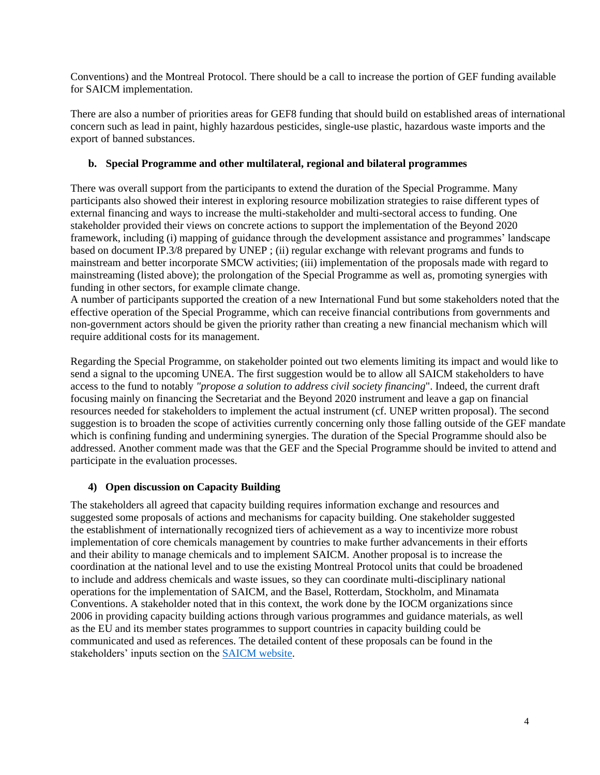Conventions) and the Montreal Protocol. There should be a call to increase the portion of GEF funding available for SAICM implementation.

There are also a number of priorities areas for GEF8 funding that should build on established areas of international concern such as lead in paint, highly hazardous pesticides, single-use plastic, hazardous waste imports and the export of banned substances.

### **b. Special Programme and other multilateral, regional and bilateral programmes**

There was overall support from the participants to extend the duration of the Special Programme. Many participants also showed their interest in exploring resource mobilization strategies to raise different types of external financing and ways to increase the multi-stakeholder and multi-sectoral access to funding. One stakeholder provided their views on concrete actions to support the implementation of the Beyond 2020 framework, including (i) mapping of guidance through the development assistance and programmes' landscape based on document IP.3/8 prepared by UNEP ; (ii) regular exchange with relevant programs and funds to mainstream and better incorporate SMCW activities; (iii) implementation of the proposals made with regard to mainstreaming (listed above); the prolongation of the Special Programme as well as, promoting synergies with funding in other sectors, for example climate change.

A number of participants supported the creation of a new International Fund but some stakeholders noted that the effective operation of the Special Programme, which can receive financial contributions from governments and non-government actors should be given the priority rather than creating a new financial mechanism which will require additional costs for its management.

Regarding the Special Programme, on stakeholder pointed out two elements limiting its impact and would like to send a signal to the upcoming UNEA. The first suggestion would be to allow all SAICM stakeholders to have access to the fund to notably *"propose a solution to address civil society financing*". Indeed, the current draft focusing mainly on financing the Secretariat and the Beyond 2020 instrument and leave a gap on financial resources needed for stakeholders to implement the actual instrument (cf. UNEP written proposal). The second suggestion is to broaden the scope of activities currently concerning only those falling outside of the GEF mandate which is confining funding and undermining synergies. The duration of the Special Programme should also be addressed. Another comment made was that the GEF and the Special Programme should be invited to attend and participate in the evaluation processes.

# **4) Open discussion on Capacity Building**

The stakeholders all agreed that capacity building requires information exchange and resources and suggested some proposals of actions and mechanisms for capacity building. One stakeholder suggested the establishment of internationally recognized tiers of achievement as a way to incentivize more robust implementation of core chemicals management by countries to make further advancements in their efforts and their ability to manage chemicals and to implement SAICM. Another proposal is to increase the coordination at the national level and to use the existing Montreal Protocol units that could be broadened to include and address chemicals and waste issues, so they can coordinate multi-disciplinary national operations for the implementation of SAICM, and the Basel, Rotterdam, Stockholm, and Minamata Conventions. A stakeholder noted that in this context, the work done by the IOCM organizations since 2006 in providing capacity building actions through various programmes and guidance materials, as well as the EU and its member states programmes to support countries in capacity building could be communicated and used as references. The detailed content of these proposals can be found in the stakeholders' inputs section on the [SAICM website.](http://www.saicm.org/Beyond2020/IntersessionalProcess/VirtualWorkingGroups/tabid/8563/language/en-US/Default.aspx)